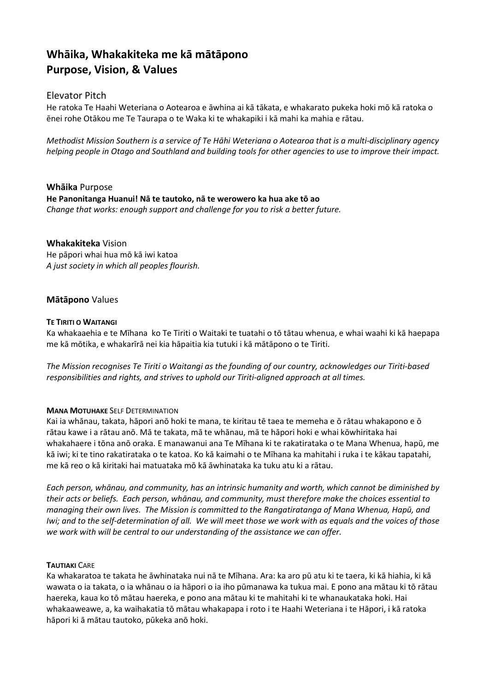# Whāika, Whakakiteka me kā mātāpono Purpose, Vision, & Values

## Elevator Pitch

He ratoka Te Haahi Weteriana o Aotearoa e āwhina ai kā tākata, e whakarato pukeka hoki mō kā ratoka o ēnei rohe Otākou me Te Taurapa o te Waka ki te whakapiki i kā mahi ka mahia e rātau.

Methodist Mission Southern is a service of Te Hāhi Weteriana o Aotearoa that is a multi-disciplinary agency helping people in Otago and Southland and building tools for other agencies to use to improve their impact.

Whāika Purpose He Panonitanga Huanui! Nā te tautoko, nā te werowero ka hua ake tō ao Change that works: enough support and challenge for you to risk a better future.

### Whakakiteka Vision

He pāpori whai hua mō kā iwi katoa A just society in which all peoples flourish.

## Mātāpono Values

#### TE TIRITI O WAITANGI

Ka whakaaehia e te Mīhana ko Te Tiriti o Waitaki te tuatahi o tō tātau whenua, e whai waahi ki kā haepapa me kā mōtika, e whakarīrā nei kia hāpaitia kia tutuki i kā mātāpono o te Tiriti.

The Mission recognises Te Tiriti o Waitangi as the founding of our country, acknowledges our Tiriti-based responsibilities and rights, and strives to uphold our Tiriti-aligned approach at all times.

#### **MANA MOTUHAKE SELF DETERMINATION**

Kai ia whānau, takata, hāpori anō hoki te mana, te kiritau tē taea te memeha e ō rātau whakapono e ō rātau kawe i a rātau anō. Mā te takata, mā te whānau, mā te hāpori hoki e whai kōwhiritaka hai whakahaere i tōna anō oraka. E manawanui ana Te Mīhana ki te rakatirataka o te Mana Whenua, hapū, me kā iwi; ki te tino rakatirataka o te katoa. Ko kā kaimahi o te Mīhana ka mahitahi i ruka i te kākau tapatahi, me kā reo o kā kiritaki hai matuataka mō kā āwhinataka ka tuku atu ki a rātau.

Each person, whānau, and community, has an intrinsic humanity and worth, which cannot be diminished by their acts or beliefs. Each person, whānau, and community, must therefore make the choices essential to managing their own lives. The Mission is committed to the Rangatiratanga of Mana Whenua, Hapū, and Iwi; and to the self-determination of all. We will meet those we work with as equals and the voices of those we work with will be central to our understanding of the assistance we can offer.

#### TAUTIAKI CARE

Ka whakaratoa te takata he āwhinataka nui nā te Mīhana. Ara: ka aro pū atu ki te taera, ki kā hiahia, ki kā wawata o ia takata, o ia whānau o ia hāpori o ia iho pūmanawa ka tukua mai. E pono ana mātau ki tō rātau haereka, kaua ko tō mātau haereka, e pono ana mātau ki te mahitahi ki te whanaukataka hoki. Hai whakaaweawe, a, ka waihakatia tō mātau whakapapa i roto i te Haahi Weteriana i te Hāpori, i kā ratoka hāpori ki ā mātau tautoko, pūkeka anō hoki.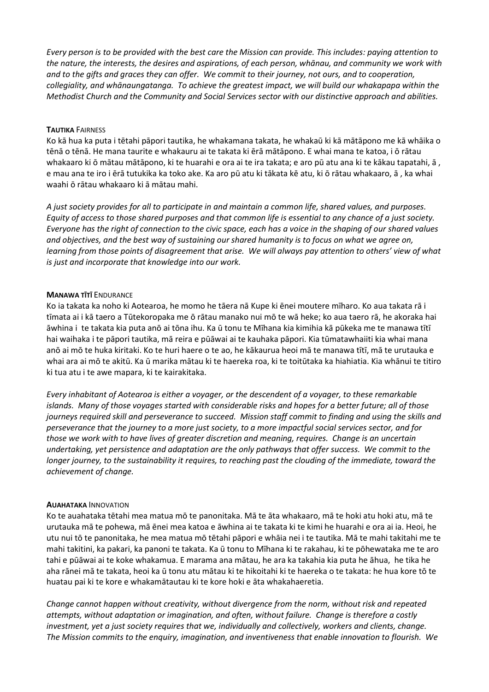Every person is to be provided with the best care the Mission can provide. This includes: paying attention to the nature, the interests, the desires and aspirations, of each person, whānau, and community we work with and to the gifts and graces they can offer. We commit to their journey, not ours, and to cooperation, collegiality, and whānaungatanga. To achieve the greatest impact, we will build our whakapapa within the Methodist Church and the Community and Social Services sector with our distinctive approach and abilities.

#### TAUTIKA FAIRNESS

Ko kā hua ka puta i tētahi pāpori tautika, he whakamana takata, he whakaū ki kā mātāpono me kā whāika o tēnā o tēnā. He mana taurite e whakauru ai te takata ki ērā mātāpono. E whai mana te katoa, i ō rātau whakaaro ki ō mātau mātāpono, ki te huarahi e ora ai te ira takata; e aro pū atu ana ki te kākau tapatahi, ā , e mau ana te iro i ērā tutukika ka toko ake. Ka aro pū atu ki tākata kē atu, ki ō rātau whakaaro, ā , ka whai waahi ō rātau whakaaro ki ā mātau mahi.

A just society provides for all to participate in and maintain a common life, shared values, and purposes. Equity of access to those shared purposes and that common life is essential to any chance of a just society. Everyone has the right of connection to the civic space, each has a voice in the shaping of our shared values and objectives, and the best way of sustaining our shared humanity is to focus on what we agree on, learning from those points of disagreement that arise. We will always pay attention to others' view of what is just and incorporate that knowledge into our work.

#### MANAWA TĪTĪ ENDURANCE

Ko ia takata ka noho ki Aotearoa, he momo he tāera nā Kupe ki ēnei moutere mīharo. Ko aua takata rā i tīmata ai i kā taero a Tūtekoropaka me ō rātau manako nui mō te wā heke; ko aua taero rā, he akoraka hai āwhina i te takata kia puta anō ai tōna ihu. Ka ū tonu te Mīhana kia kimihia kā pūkeka me te manawa tītī hai waihaka i te pāpori tautika, mā reira e pūāwai ai te kauhaka pāpori. Kia tūmatawhaiiti kia whai mana anō ai mō te huka kiritaki. Ko te huri haere o te ao, he kākaurua heoi mā te manawa tītī, mā te urutauka e whai ara ai mō te akitū. Ka ū marika mātau ki te haereka roa, ki te toitūtaka ka hiahiatia. Kia whānui te titiro ki tua atu i te awe mapara, ki te kairakitaka.

Every inhabitant of Aotearoa is either a voyager, or the descendent of a voyager, to these remarkable islands. Many of those voyages started with considerable risks and hopes for a better future; all of those journeys required skill and perseverance to succeed. Mission staff commit to finding and using the skills and perseverance that the journey to a more just society, to a more impactful social services sector, and for those we work with to have lives of greater discretion and meaning, requires. Change is an uncertain undertaking, yet persistence and adaptation are the only pathways that offer success. We commit to the longer journey, to the sustainability it requires, to reaching past the clouding of the immediate, toward the achievement of change.

#### AUAHATAKA INNOVATION

Ko te auahataka tētahi mea matua mō te panonitaka. Mā te āta whakaaro, mā te hoki atu hoki atu, mā te urutauka mā te pohewa, mā ēnei mea katoa e āwhina ai te takata ki te kimi he huarahi e ora ai ia. Heoi, he utu nui tō te panonitaka, he mea matua mō tētahi pāpori e whāia nei i te tautika. Mā te mahi takitahi me te mahi takitini, ka pakari, ka panoni te takata. Ka ū tonu to Mīhana ki te rakahau, ki te pōhewataka me te aro tahi e pūāwai ai te koke whakamua. E marama ana mātau, he ara ka takahia kia puta he āhua, he tika he aha rānei mā te takata, heoi ka ū tonu atu mātau ki te hikoitahi ki te haereka o te takata: he hua kore tō te huatau pai ki te kore e whakamātautau ki te kore hoki e āta whakahaeretia.

Change cannot happen without creativity, without divergence from the norm, without risk and repeated attempts, without adaptation or imagination, and often, without failure. Change is therefore a costly investment, yet a just society requires that we, individually and collectively, workers and clients, change. The Mission commits to the enquiry, imagination, and inventiveness that enable innovation to flourish. We